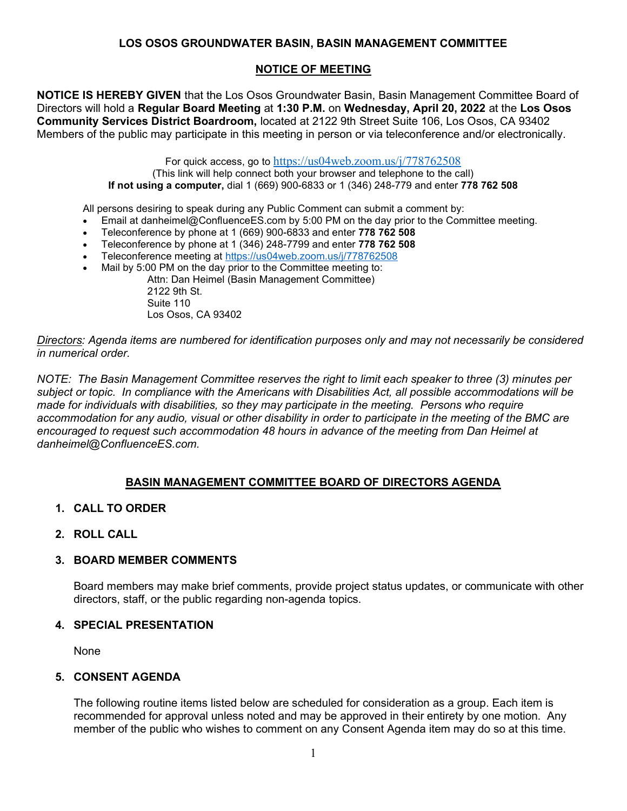# LOS OSOS GROUNDWATER BASIN, BASIN MANAGEMENT COMMITTEE

# NOTICE OF MEETING

NOTICE IS HEREBY GIVEN that the Los Osos Groundwater Basin, Basin Management Committee Board of Directors will hold a Regular Board Meeting at 1:30 P.M. on Wednesday, April 20, 2022 at the Los Osos Community Services District Boardroom, located at 2122 9th Street Suite 106, Los Osos, CA 93402 Members of the public may participate in this meeting in person or via teleconference and/or electronically.

For quick access, go to https://us04web.zoom.us/j/778762508

(This link will help connect both your browser and telephone to the call) If not using a computer, dial 1 (669) 900-6833 or 1 (346) 248-779 and enter 778 762 508

All persons desiring to speak during any Public Comment can submit a comment by:

- Email at danheimel@ConfluenceES.com by 5:00 PM on the day prior to the Committee meeting.
- Teleconference by phone at 1 (669) 900-6833 and enter 778 762 508
- Teleconference by phone at 1 (346) 248-7799 and enter 778 762 508
- Teleconference meeting at https://us04web.zoom.us/j/778762508
- Mail by 5:00 PM on the day prior to the Committee meeting to:

Attn: Dan Heimel (Basin Management Committee) 2122 9th St. Suite 110 Los Osos, CA 93402

Directors: Agenda items are numbered for identification purposes only and may not necessarily be considered in numerical order.

NOTE: The Basin Management Committee reserves the right to limit each speaker to three (3) minutes per subject or topic. In compliance with the Americans with Disabilities Act, all possible accommodations will be made for individuals with disabilities, so they may participate in the meeting. Persons who require accommodation for any audio, visual or other disability in order to participate in the meeting of the BMC are encouraged to request such accommodation 48 hours in advance of the meeting from Dan Heimel at danheimel@ConfluenceES.com.

## BASIN MANAGEMENT COMMITTEE BOARD OF DIRECTORS AGENDA

- 1. CALL TO ORDER
- 2. ROLL CALL

### 3. BOARD MEMBER COMMENTS

Board members may make brief comments, provide project status updates, or communicate with other directors, staff, or the public regarding non-agenda topics.

### 4. SPECIAL PRESENTATION

None

### 5. CONSENT AGENDA

The following routine items listed below are scheduled for consideration as a group. Each item is recommended for approval unless noted and may be approved in their entirety by one motion. Any member of the public who wishes to comment on any Consent Agenda item may do so at this time.